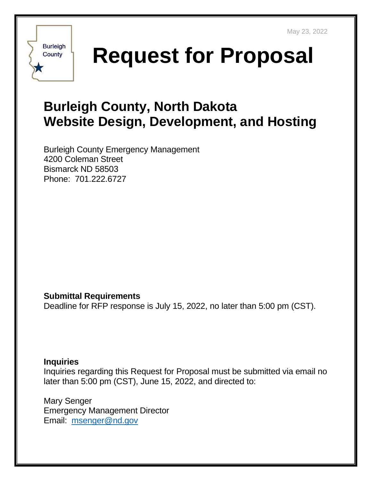

**Request for Proposal**

# **Burleigh County, North Dakota Website Design, Development, and Hosting**

Burleigh County Emergency Management 4200 Coleman Street Bismarck ND 58503 Phone: 701.222.6727

### **Submittal Requirements**

Deadline for RFP response is July 15, 2022, no later than 5:00 pm (CST).

#### **Inquiries**

Inquiries regarding this Request for Proposal must be submitted via email no later than 5:00 pm (CST), June 15, 2022, and directed to:

Mary Senger Emergency Management Director Email: [msenger@nd.gov](mailto:msenger@nd.gov)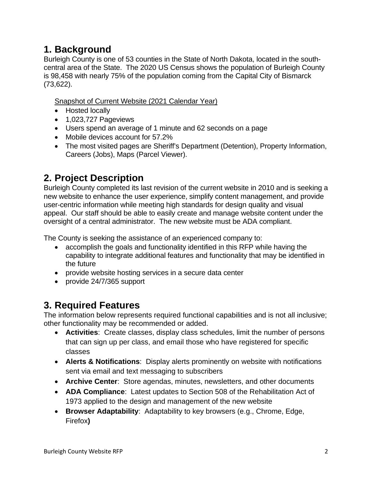### **1. Background**

Burleigh County is one of 53 counties in the State of North Dakota, located in the southcentral area of the State. The 2020 US Census shows the population of Burleigh County is 98,458 with nearly 75% of the population coming from the Capital City of Bismarck (73,622).

Snapshot of Current Website (2021 Calendar Year)

- Hosted locally
- 1,023,727 Pageviews
- Users spend an average of 1 minute and 62 seconds on a page
- Mobile devices account for 57.2%
- The most visited pages are Sheriff's Department (Detention), Property Information, Careers (Jobs), Maps (Parcel Viewer).

# **2. Project Description**

Burleigh County completed its last revision of the current website in 2010 and is seeking a new website to enhance the user experience, simplify content management, and provide user-centric information while meeting high standards for design quality and visual appeal. Our staff should be able to easily create and manage website content under the oversight of a central administrator. The new website must be ADA compliant.

The County is seeking the assistance of an experienced company to:

- accomplish the goals and functionality identified in this RFP while having the capability to integrate additional features and functionality that may be identified in the future
- provide website hosting services in a secure data center
- provide 24/7/365 support

# **3. Required Features**

The information below represents required functional capabilities and is not all inclusive; other functionality may be recommended or added.

- **Activities**: Create classes, display class schedules, limit the number of persons that can sign up per class, and email those who have registered for specific classes
- **Alerts & Notifications**: Display alerts prominently on website with notifications sent via email and text messaging to subscribers
- **Archive Center**: Store agendas, minutes, newsletters, and other documents
- **ADA Compliance**: Latest updates to Section 508 of the Rehabilitation Act of 1973 applied to the design and management of the new website
- **Browser Adaptability**: Adaptability to key browsers (e.g., Chrome, Edge, Firefox**)**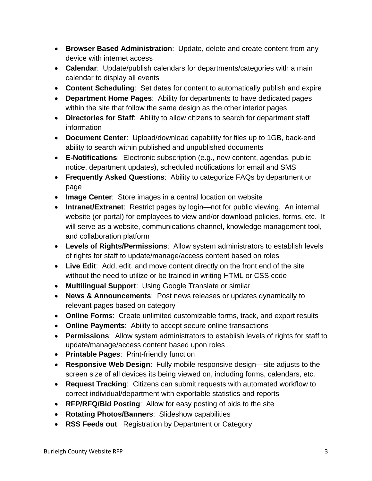- **Browser Based Administration**: Update, delete and create content from any device with internet access
- **Calendar**: Update/publish calendars for departments/categories with a main calendar to display all events
- **Content Scheduling**: Set dates for content to automatically publish and expire
- **Department Home Pages**: Ability for departments to have dedicated pages within the site that follow the same design as the other interior pages
- **Directories for Staff**: Ability to allow citizens to search for department staff information
- **Document Center**: Upload/download capability for files up to 1GB, back-end ability to search within published and unpublished documents
- **E-Notifications**: Electronic subscription (e.g., new content, agendas, public notice, department updates), scheduled notifications for email and SMS
- **Frequently Asked Questions**: Ability to categorize FAQs by department or page
- **Image Center**: Store images in a central location on website
- **Intranet/Extranet**: Restrict pages by login—not for public viewing. An internal website (or portal) for employees to view and/or download policies, forms, etc. It will serve as a website, communications channel, knowledge management tool, and collaboration platform
- **Levels of Rights/Permissions**: Allow system administrators to establish levels of rights for staff to update/manage/access content based on roles
- **Live Edit**: Add, edit, and move content directly on the front end of the site without the need to utilize or be trained in writing HTML or CSS code
- **Multilingual Support**: Using Google Translate or similar
- **News & Announcements**: Post news releases or updates dynamically to relevant pages based on category
- **Online Forms**: Create unlimited customizable forms, track, and export results
- **Online Payments**: Ability to accept secure online transactions
- **Permissions**: Allow system administrators to establish levels of rights for staff to update/manage/access content based upon roles
- **Printable Pages**: Print-friendly function
- **Responsive Web Design**: Fully mobile responsive design—site adjusts to the screen size of all devices its being viewed on, including forms, calendars, etc.
- **Request Tracking**: Citizens can submit requests with automated workflow to correct individual/department with exportable statistics and reports
- **RFP/RFQ/Bid Posting**: Allow for easy posting of bids to the site
- **Rotating Photos/Banners**: Slideshow capabilities
- **RSS Feeds out**: Registration by Department or Category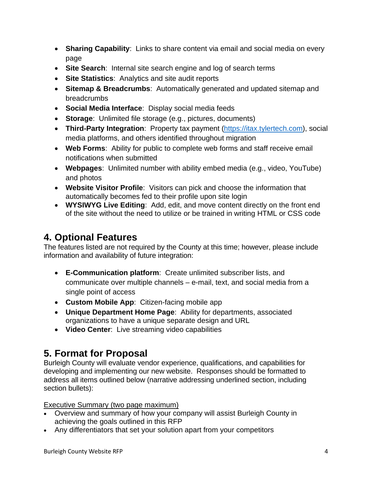- **Sharing Capability**: Links to share content via email and social media on every page
- **Site Search**: Internal site search engine and log of search terms
- **Site Statistics**: Analytics and site audit reports
- **Sitemap & Breadcrumbs**: Automatically generated and updated sitemap and breadcrumbs
- **Social Media Interface**: Display social media feeds
- **Storage**: Unlimited file storage (e.g., pictures, documents)
- **Third-Party Integration**: Property tax payment [\(https://itax.tylertech.com\)](https://itax.tylertech.com/), social media platforms, and others identified throughout migration
- **Web Forms**: Ability for public to complete web forms and staff receive email notifications when submitted
- **Webpages**: Unlimited number with ability embed media (e.g., video, YouTube) and photos
- **Website Visitor Profile**: Visitors can pick and choose the information that automatically becomes fed to their profile upon site login
- **WYSIWYG Live Editing**: Add, edit, and move content directly on the front end of the site without the need to utilize or be trained in writing HTML or CSS code

### **4. Optional Features**

The features listed are not required by the County at this time; however, please include information and availability of future integration:

- **E-Communication platform**: Create unlimited subscriber lists, and communicate over multiple channels – e-mail, text, and social media from a single point of access
- **Custom Mobile App**: Citizen-facing mobile app
- **Unique Department Home Page**: Ability for departments, associated organizations to have a unique separate design and URL
- **Video Center**: Live streaming video capabilities

# **5. Format for Proposal**

Burleigh County will evaluate vendor experience, qualifications, and capabilities for developing and implementing our new website. Responses should be formatted to address all items outlined below (narrative addressing underlined section, including section bullets):

#### Executive Summary (two page maximum)

- Overview and summary of how your company will assist Burleigh County in achieving the goals outlined in this RFP
- Any differentiators that set your solution apart from your competitors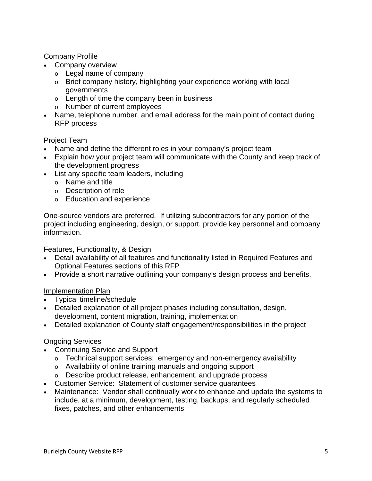#### Company Profile

- Company overview
	- o Legal name of company
	- o Brief company history, highlighting your experience working with local governments
	- o Length of time the company been in business
	- o Number of current employees
- Name, telephone number, and email address for the main point of contact during RFP process

#### Project Team

- Name and define the different roles in your company's project team
- Explain how your project team will communicate with the County and keep track of the development progress
- List any specific team leaders, including
	- o Name and title
	- o Description of role
	- o Education and experience

One-source vendors are preferred. If utilizing subcontractors for any portion of the project including engineering, design, or support, provide key personnel and company information.

#### Features, Functionality, & Design

- Detail availability of all features and functionality listed in Required Features and Optional Features sections of this RFP
- Provide a short narrative outlining your company's design process and benefits.

#### Implementation Plan

- Typical timeline/schedule
- Detailed explanation of all project phases including consultation, design, development, content migration, training, implementation
- Detailed explanation of County staff engagement/responsibilities in the project

#### Ongoing Services

- Continuing Service and Support
	- o Technical support services: emergency and non-emergency availability
	- o Availability of online training manuals and ongoing support
	- o Describe product release, enhancement, and upgrade process
- Customer Service: Statement of customer service guarantees
- Maintenance: Vendor shall continually work to enhance and update the systems to include, at a minimum, development, testing, backups, and regularly scheduled fixes, patches, and other enhancements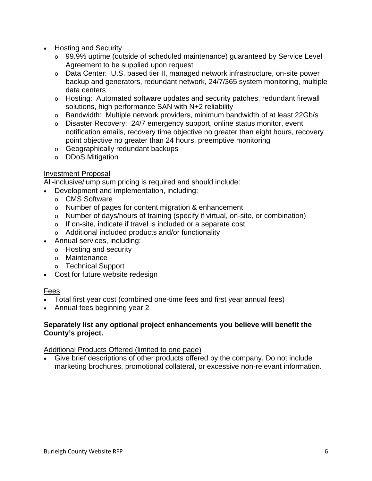- Hosting and Security
	- o 99.9% uptime (outside of scheduled maintenance) guaranteed by Service Level Agreement to be supplied upon request
	- o Data Center: U.S. based tier II, managed network infrastructure, on-site power backup and generators, redundant network, 24/7/365 system monitoring, multiple data centers
	- $\circ$  Hosting: Automated software updates and security patches, redundant firewall solutions, high performance SAN with N+2 reliability
	- o Bandwidth: Multiple network providers, minimum bandwidth of at least 22Gb/s
	- o Disaster Recovery: 24/7 emergency support, online status monitor, event notification emails, recovery time objective no greater than eight hours, recovery point objective no greater than 24 hours, preemptive monitoring
	- o Geographically redundant backups
	- o DDoS Mitigation

#### Investment Proposal

All-inclusive/lump sum pricing is required and should include:

- Development and implementation, including:
	- o CMS Software
	- o Number of pages for content migration & enhancement
	- $\circ$  Number of days/hours of training (specify if virtual, on-site, or combination)
	- o If on-site, indicate if travel is included or a separate cost
	- o Additional included products and/or functionality
- Annual services, including:
	- o Hosting and security
	- o Maintenance
	- o Technical Support
- Cost for future website redesign

#### Fees

- Total first year cost (combined one-time fees and first year annual fees)
- Annual fees beginning year 2

#### **Separately list any optional project enhancements you believe will benefit the County's project.**

#### Additional Products Offered (limited to one page)

• Give brief descriptions of other products offered by the company. Do not include marketing brochures, promotional collateral, or excessive non-relevant information.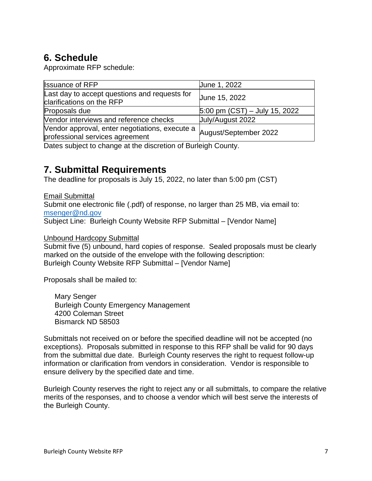# **6. Schedule**

Approximate RFP schedule:

| <b>Issuance of RFP</b>                                                            | June 1, 2022                    |
|-----------------------------------------------------------------------------------|---------------------------------|
| Last day to accept questions and requests for<br>clarifications on the RFP        | June 15, 2022                   |
| Proposals due                                                                     | $5:00$ pm (CST) – July 15, 2022 |
| Vendor interviews and reference checks                                            | July/August 2022                |
| Vendor approval, enter negotiations, execute a<br>professional services agreement | August/September 2022           |

Dates subject to change at the discretion of Burleigh County.

### **7. Submittal Requirements**

The deadline for proposals is July 15, 2022, no later than 5:00 pm (CST)

Email Submittal Submit one electronic file (.pdf) of response, no larger than 25 MB, via email to: [msenger@nd.gov](mailto:msenger@nd.gov)  Subject Line: Burleigh County Website RFP Submittal – [Vendor Name]

#### Unbound Hardcopy Submittal

Submit five (5) unbound, hard copies of response. Sealed proposals must be clearly marked on the outside of the envelope with the following description: Burleigh County Website RFP Submittal – [Vendor Name]

Proposals shall be mailed to:

Mary Senger Burleigh County Emergency Management 4200 Coleman Street Bismarck ND 58503

Submittals not received on or before the specified deadline will not be accepted (no exceptions). Proposals submitted in response to this RFP shall be valid for 90 days from the submittal due date. Burleigh County reserves the right to request follow-up information or clarification from vendors in consideration. Vendor is responsible to ensure delivery by the specified date and time.

Burleigh County reserves the right to reject any or all submittals, to compare the relative merits of the responses, and to choose a vendor which will best serve the interests of the Burleigh County.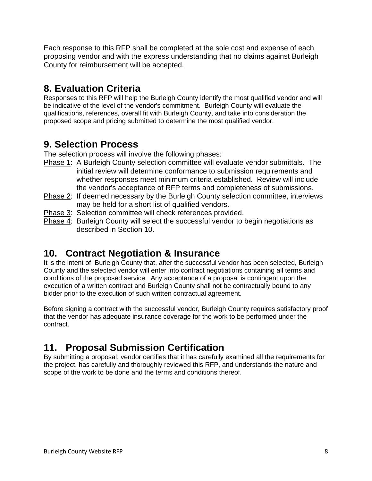Each response to this RFP shall be completed at the sole cost and expense of each proposing vendor and with the express understanding that no claims against Burleigh County for reimbursement will be accepted.

### **8. Evaluation Criteria**

Responses to this RFP will help the Burleigh County identify the most qualified vendor and will be indicative of the level of the vendor's commitment. Burleigh County will evaluate the qualifications, references, overall fit with Burleigh County, and take into consideration the proposed scope and pricing submitted to determine the most qualified vendor.

### **9. Selection Process**

The selection process will involve the following phases:

- Phase 1: A Burleigh County selection committee will evaluate vendor submittals. The initial review will determine conformance to submission requirements and whether responses meet minimum criteria established. Review will include the vendor's acceptance of RFP terms and completeness of submissions.
- Phase 2: If deemed necessary by the Burleigh County selection committee, interviews may be held for a short list of qualified vendors.
- Phase 3: Selection committee will check references provided.
- Phase 4: Burleigh County will select the successful vendor to begin negotiations as described in Section 10.

# **10. Contract Negotiation & Insurance**

It is the intent of Burleigh County that, after the successful vendor has been selected, Burleigh County and the selected vendor will enter into contract negotiations containing all terms and conditions of the proposed service. Any acceptance of a proposal is contingent upon the execution of a written contract and Burleigh County shall not be contractually bound to any bidder prior to the execution of such written contractual agreement.

Before signing a contract with the successful vendor, Burleigh County requires satisfactory proof that the vendor has adequate insurance coverage for the work to be performed under the contract.

# **11. Proposal Submission Certification**

By submitting a proposal, vendor certifies that it has carefully examined all the requirements for the project, has carefully and thoroughly reviewed this RFP, and understands the nature and scope of the work to be done and the terms and conditions thereof.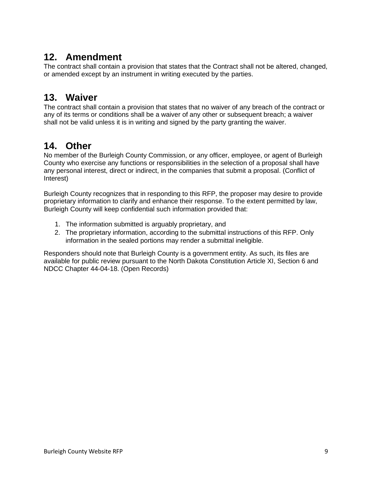### **12. Amendment**

The contract shall contain a provision that states that the Contract shall not be altered, changed, or amended except by an instrument in writing executed by the parties.

### **13. Waiver**

The contract shall contain a provision that states that no waiver of any breach of the contract or any of its terms or conditions shall be a waiver of any other or subsequent breach; a waiver shall not be valid unless it is in writing and signed by the party granting the waiver.

### **14. Other**

No member of the Burleigh County Commission, or any officer, employee, or agent of Burleigh County who exercise any functions or responsibilities in the selection of a proposal shall have any personal interest, direct or indirect, in the companies that submit a proposal. (Conflict of Interest)

Burleigh County recognizes that in responding to this RFP, the proposer may desire to provide proprietary information to clarify and enhance their response. To the extent permitted by law, Burleigh County will keep confidential such information provided that:

- 1. The information submitted is arguably proprietary, and
- 2. The proprietary information, according to the submittal instructions of this RFP. Only information in the sealed portions may render a submittal ineligible.

Responders should note that Burleigh County is a government entity. As such, its files are available for public review pursuant to the North Dakota Constitution Article XI, Section 6 and NDCC Chapter 44-04-18. (Open Records)